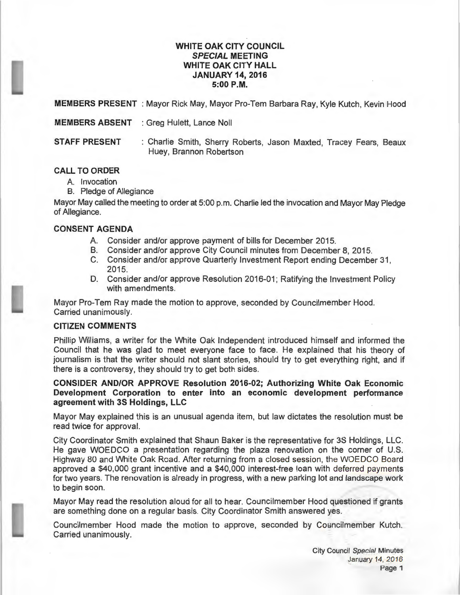### **WHITE OAK CITY COUNCIL SPECIAL MEETING WHITE OAK CITY HALL JANUARY 14, 2016 5:00P.M.**

**MEMBERS PRESENT**: Mayor Rick May, Mayor Pro-Tem Barbara Ray, Kyle Kutch, Kevin Hood

**MEMBERS ABSENT** : Greg Hulett, Lance Noll

**STAFF PRESENT** : Charlie Smith, Sherry Roberts, Jason Maxted, Tracey Fears, Beaux Huey, Brannon Robertson

## **CALL TO ORDER**

- A. Invocation
- B. Pledge of Allegiance

Mayor May called the meeting to order at 5:00 p.m. Charlie led the invocation and Mayor May Pledge of Allegiance.

#### **CONSENT AGENDA**

- A. Consider and/or approve payment of bills for December 2015.
- B. Consider and/or approve City Council minutes from December 8, 2015.
- C. Consider and/or approve Quarterly Investment Report ending December 31 , 2015.
- D. Consider and/or approve Resolution 2016-01; Ratifying the Investment Policy with amendments.

Mayor Pro-Tem Ray made the motion to approve, seconded by Councilmember Hood. Carried unanimously.

### **CITIZEN COMMENTS**

Phillip Williams, a writer for the White Oak Independent introduced himself and informed the Council that he was glad to meet everyone face to face. He explained that his theory of journalism is that the writer should not slant stories, should try to get everything right, and if there is a controversy, they should try to get both sides.

**CONSIDER AND/OR APPROVE Resolution 2016-02; Authorizing White Oak Economic Development Corporation to enter into an economic development performance agreement with 3S Holdings, LLC** 

Mayor May explained this is an unusual agenda item, but law dictates the resolution must be read twice for approval.

City Coordinator Smith explained that Shaun Baker is the representative for 3S Holdings, LLC. He gave WOEDCO a presentation regarding the plaza renovation on the corner of U.S. Highway 80 and White Oak Road. After returning from a closed session, the WOEDCO Board approved a \$40,000 grant incentive and a \$40,000 interest-free loan with deferred payments for two years. The renovation is already in progress, with a new parking lot and landscape work to begin soon.

Mayor May read the resolution aloud for all to hear. Councilmember Hood questioned if grants are something done on a regular basis. City Coordinator Smith answered yes.

Councilmember Hood made the motion to approve, seconded by Councilmember Kutch. Carried unanimously.

> City Council Special Minutes January 14, 2016 Page 1